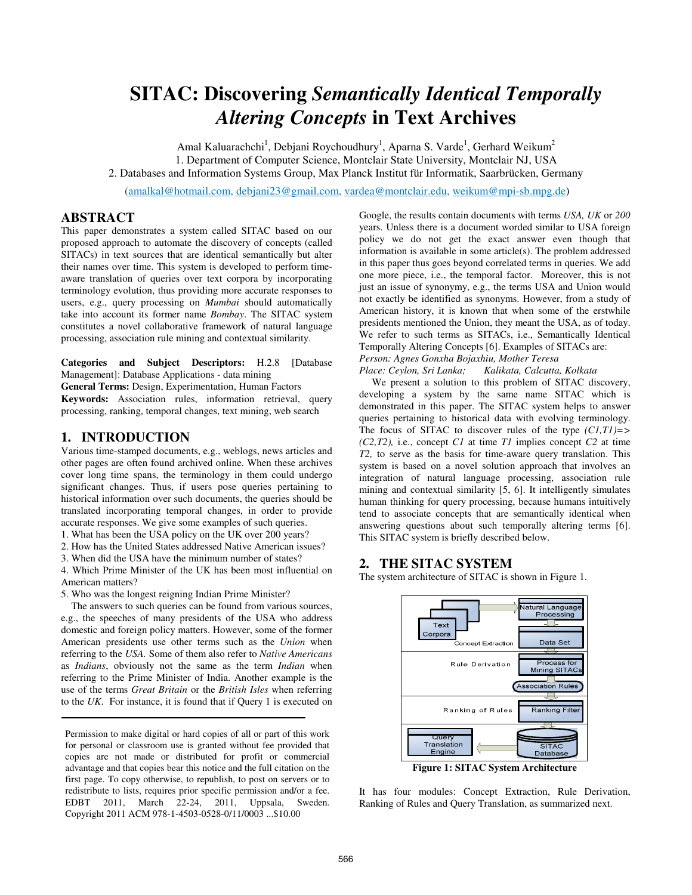# **SITAC: Discovering** *Semantically Identical Temporally Altering Concepts* **in Text Archives**

Amal Kaluarachchi<sup>1</sup>, Debjani Roychoudhury<sup>1</sup>, Aparna S. Varde<sup>1</sup>, Gerhard Weikum<sup>2</sup> 1. Department of Computer Science, Montclair State University, Montclair NJ, USA 2. Databases and Information Systems Group, Max Planck Institut für Informatik, Saarbrücken, Germany

(amalkal@hotmail.com, debjani23@gmail.com, vardea@montclair.edu, weikum@mpi-sb.mpg.de)

## **ABSTRACT**

This paper demonstrates a system called SITAC based on our proposed approach to automate the discovery of concepts (called SITACs) in text sources that are identical semantically but alter their names over time. This system is developed to perform timeaware translation of queries over text corpora by incorporating terminology evolution, thus providing more accurate responses to users, e.g., query processing on *Mumbai* should automatically take into account its former name *Bombay*. The SITAC system constitutes a novel collaborative framework of natural language processing, association rule mining and contextual similarity.

**Categories and Subject Descriptors:** H.2.8 [Database Management]: Database Applications - data mining

**General Terms:** Design, Experimentation, Human Factors

**Keywords:** Association rules, information retrieval, query processing, ranking, temporal changes, text mining, web search

# **1. INTRODUCTION**

Various time-stamped documents, e.g., weblogs, news articles and other pages are often found archived online. When these archives cover long time spans, the terminology in them could undergo significant changes. Thus, if users pose queries pertaining to historical information over such documents, the queries should be translated incorporating temporal changes, in order to provide accurate responses. We give some examples of such queries.

1. What has been the USA policy on the UK over 200 years?

2. How has the United States addressed Native American issues?

3. When did the USA have the minimum number of states?

4. Which Prime Minister of the UK has been most influential on American matters?

5. Who was the longest reigning Indian Prime Minister?

 The answers to such queries can be found from various sources, e.g., the speeches of many presidents of the USA who address domestic and foreign policy matters. However, some of the former American presidents use other terms such as the *Union* when referring to the *USA.* Some of them also refer to *Native Americans* as *Indians*, obviously not the same as the term *Indian* when referring to the Prime Minister of India. Another example is the use of the terms *Great Britain* or the *British Isles* when referring to the *UK*. For instance, it is found that if Query 1 is executed on

Permission to make digital or hard copies of all or part of this work for personal or classroom use is granted without fee provided that copies are not made or distributed for profit or commercial advantage and that copies bear this notice and the full citation on the first page. To copy otherwise, to republish, to post on servers or to redistribute to lists, requires prior specific permission and/or a fee. EDBT 2011, March 22-24, 2011, Uppsala, Sweden. Copyright 2011 ACM 978-1-4503-0528-0/11/0003 ...\$10.00

Google, the results contain documents with terms *USA, UK* or *200*  years. Unless there is a document worded similar to USA foreign policy we do not get the exact answer even though that information is available in some article(s). The problem addressed in this paper thus goes beyond correlated terms in queries. We add one more piece, i.e., the temporal factor. Moreover, this is not just an issue of synonymy, e.g., the terms USA and Union would not exactly be identified as synonyms. However, from a study of American history, it is known that when some of the erstwhile presidents mentioned the Union, they meant the USA, as of today. We refer to such terms as SITACs, i.e., Semantically Identical Temporally Altering Concepts [6]. Examples of SITACs are: *Person: Agnes Gonxha Bojaxhiu, Mother Teresa* 

*Place: Ceylon, Sri Lanka; Kalikata, Calcutta, Kolkata*  We present a solution to this problem of SITAC discovery, developing a system by the same name SITAC which is demonstrated in this paper. The SITAC system helps to answer queries pertaining to historical data with evolving terminology. The focus of SITAC to discover rules of the type *(C1,T1)=> (C2,T2),* i.e., concept *C1* at time *T1* implies concept *C2* at time *T2,* to serve as the basis for time-aware query translation. This system is based on a novel solution approach that involves an integration of natural language processing, association rule mining and contextual similarity [5, 6]. It intelligently simulates human thinking for query processing, because humans intuitively tend to associate concepts that are semantically identical when answering questions about such temporally altering terms [6]. This SITAC system is briefly described below.

#### **2. THE SITAC SYSTEM**

The system architecture of SITAC is shown in Figure 1.



**Figure 1: SITAC System Architecture** 

It has four modules: Concept Extraction, Rule Derivation, Ranking of Rules and Query Translation, as summarized next.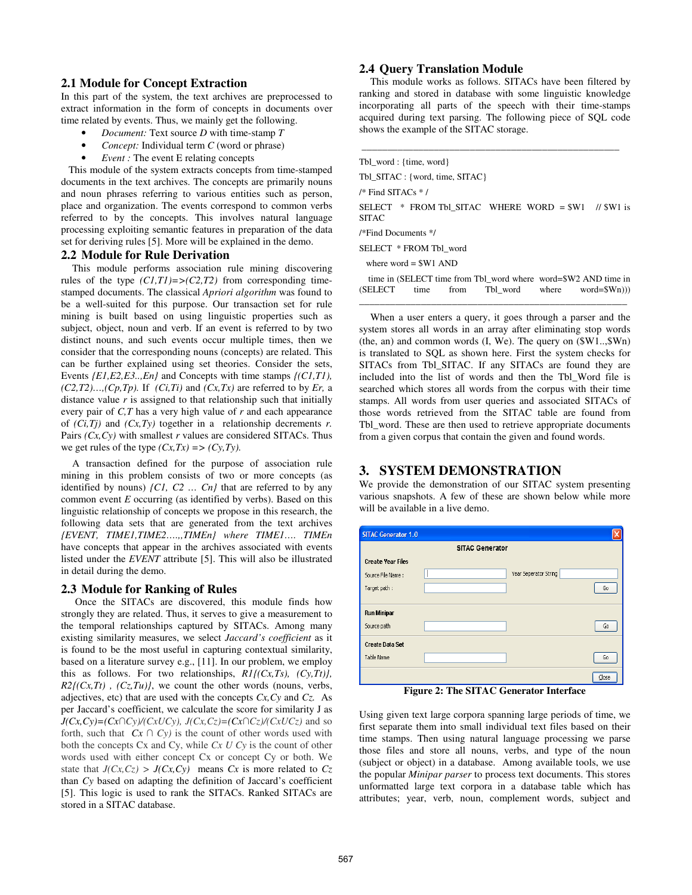#### **2.1 Module for Concept Extraction**

In this part of the system, the text archives are preprocessed to extract information in the form of concepts in documents over time related by events. Thus, we mainly get the following.

- *Document:* Text source *D* with time-stamp *T*
- *Concept:* Individual term *C* (word or phrase)
- *Event :* The event E relating concepts

 This module of the system extracts concepts from time-stamped documents in the text archives. The concepts are primarily nouns and noun phrases referring to various entities such as person, place and organization. The events correspond to common verbs referred to by the concepts. This involves natural language processing exploiting semantic features in preparation of the data set for deriving rules [5]. More will be explained in the demo.

### **2.2 Module for Rule Derivation**

This module performs association rule mining discovering rules of the type  $(C1, T1)$ => $(C2, T2)$  from corresponding timestamped documents. The classical *Apriori algorithm* was found to be a well-suited for this purpose. Our transaction set for rule mining is built based on using linguistic properties such as subject, object, noun and verb. If an event is referred to by two distinct nouns, and such events occur multiple times, then we consider that the corresponding nouns (concepts) are related. This can be further explained using set theories. Consider the sets, Events *{E1,E2,E3..,En}* and Concepts with time stamps *{(C1,T1),*  $(C2, T2)$ ...*,* $(Cp, Tp)$ . If  $(Ci, Ti)$  and  $(Cx, Tx)$  are referred to by *Er*, a distance value *r* is assigned to that relationship such that initially every pair of *C,T* has a very high value of *r* and each appearance of  $(Ci, Tj)$  and  $(Cx, Ty)$  together in a relationship decrements *r*. Pairs *(Cx,Cy)* with smallest *r* values are considered SITACs. Thus we get rules of the type  $(Cx, Tx)$  =>  $(Cy, Ty)$ .

A transaction defined for the purpose of association rule mining in this problem consists of two or more concepts (as identified by nouns) *{C1, C2 … Cn}* that are referred to by any common event *E* occurring (as identified by verbs). Based on this linguistic relationship of concepts we propose in this research, the following data sets that are generated from the text archives *{EVENT, TIME1,TIME2….,,TIMEn} where TIME1…. TIMEn*  have concepts that appear in the archives associated with events listed under the *EVENT* attribute [5]. This will also be illustrated in detail during the demo.

#### **2.3 Module for Ranking of Rules**

Once the SITACs are discovered, this module finds how strongly they are related. Thus, it serves to give a measurement to the temporal relationships captured by SITACs. Among many existing similarity measures, we select *Jaccard's coefficient* as it is found to be the most useful in capturing contextual similarity, based on a literature survey e.g., [11]. In our problem, we employ this as follows. For two relationships, *R1{(Cx,Ts), (Cy,Tt)},*   $R2/(Cx,Tt)$ ,  $(Cz,Tu)$ , we count the other words (nouns, verbs, adjectives, etc) that are used with the concepts *Cx,Cy* and *Cz.* As per Jaccard's coefficient, we calculate the score for similarity J as *J*(*Cx,Cy*)=(*Cx*∩*Cy*)/(*CxUCy*), *J*(*Cx,Cz*)=(*Cx*∩*Cz*)/(*CxUCz*) and so forth, such that  $Cx \cap Cy$  is the count of other words used with both the concepts Cx and Cy, while *Cx U Cy* is the count of other words used with either concept Cx or concept Cy or both. We state that  $J(Cx, Cz) > J(Cx, Cy)$  means  $Cx$  is more related to  $Cz$ than *Cy* based on adapting the definition of Jaccard's coefficient [5]. This logic is used to rank the SITACs. Ranked SITACs are stored in a SITAC database.

## **2.4 Query Translation Module**

This module works as follows. SITACs have been filtered by ranking and stored in database with some linguistic knowledge incorporating all parts of the speech with their time-stamps acquired during text parsing. The following piece of SQL code shows the example of the SITAC storage.

| Tbl word : {time, word}                                              |
|----------------------------------------------------------------------|
| Tbl_SITAC : {word, time, SITAC}                                      |
| $/*$ Find SITACs $*$ /                                               |
| SELECT * FROM Tbl SITAC WHERE WORD = $W1$ // $W1$ is<br><b>SITAC</b> |
| /*Find Documents */                                                  |
| SELECT * FROM Tbl word                                               |
| where word = $W1$ AND                                                |
| time in (SELECT time from Tbl word where word=\$W2 AND time in       |

(SELECT time from Tbl\_word where word=\$Wn))) \_\_\_\_\_\_\_\_\_\_\_\_\_\_\_\_\_\_\_\_\_\_\_\_\_\_\_\_\_\_\_\_\_\_\_\_\_\_\_\_\_\_\_\_\_\_\_\_\_\_\_\_

When a user enters a query, it goes through a parser and the system stores all words in an array after eliminating stop words (the, an) and common words (I, We). The query on (\$W1..,\$Wn) is translated to SQL as shown here. First the system checks for SITACs from Tbl\_SITAC. If any SITACs are found they are included into the list of words and then the Tbl\_Word file is searched which stores all words from the corpus with their time stamps. All words from user queries and associated SITACs of those words retrieved from the SITAC table are found from Tbl\_word. These are then used to retrieve appropriate documents from a given corpus that contain the given and found words.

#### **3. SYSTEM DEMONSTRATION**

We provide the demonstration of our SITAC system presenting various snapshots. A few of these are shown below while more will be available in a live demo.



**Figure 2: The SITAC Generator Interface** 

Using given text large corpora spanning large periods of time, we first separate them into small individual text files based on their time stamps. Then using natural language processing we parse those files and store all nouns, verbs, and type of the noun (subject or object) in a database. Among available tools, we use the popular *Minipar parser* to process text documents. This stores unformatted large text corpora in a database table which has attributes; year, verb, noun, complement words, subject and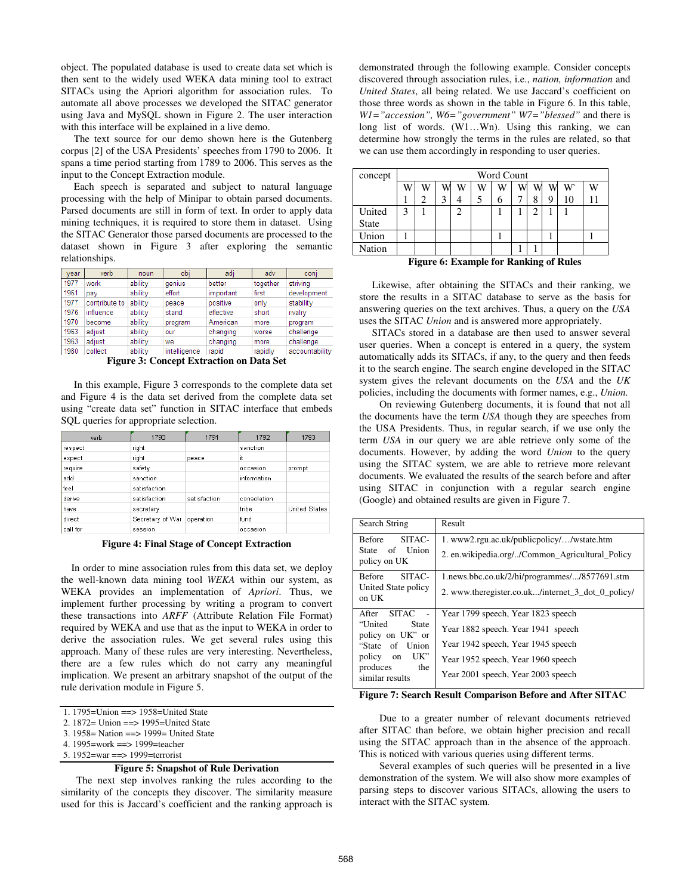object. The populated database is used to create data set which is then sent to the widely used WEKA data mining tool to extract SITACs using the Apriori algorithm for association rules. To automate all above processes we developed the SITAC generator using Java and MySQL shown in Figure 2. The user interaction with this interface will be explained in a live demo.

The text source for our demo shown here is the Gutenberg corpus [2] of the USA Presidents' speeches from 1790 to 2006. It spans a time period starting from 1789 to 2006. This serves as the input to the Concept Extraction module.

 Each speech is separated and subject to natural language processing with the help of Minipar to obtain parsed documents. Parsed documents are still in form of text. In order to apply data mining techniques, it is required to store them in dataset. Using the SITAC Generator those parsed documents are processed to the dataset shown in Figure 3 after exploring the semantic relationships.

| vear | verb              | noun              | obi          | adj       | adv                      | coni           |  |
|------|-------------------|-------------------|--------------|-----------|--------------------------|----------------|--|
| 1977 | work              | ability           | genius       | better    | together                 | striving       |  |
| 1961 | pay               | ability           | effort       | important | first                    | development    |  |
| 1977 | contribute to     | ability           | peace        | positive  | only                     | stability      |  |
| 1976 | influence         | ability           | stand        | effective | short                    | rivalry        |  |
| 1970 | become            | ability           | program      | American  | more                     | program        |  |
| 1963 | adiust            | ability           | our          | changing  | worse                    | challenge      |  |
| 1963 | adjust            | ability           | we           | changing  | more                     | challenge      |  |
| 1980 | collect<br>$\sim$ | ability<br>$\sim$ | intelligence | rapid     | rapidly<br>$\sim$ $\sim$ | accountability |  |

**Figure 3: Concept Extraction on Data Set** 

 In this example, Figure 3 corresponds to the complete data set and Figure 4 is the data set derived from the complete data set using "create data set" function in SITAC interface that embeds SQL queries for appropriate selection.

| verb     | 1790             | 1791         | 1792        | 1793          |
|----------|------------------|--------------|-------------|---------------|
| respect  | right            |              | sanction    |               |
| expect   | right            | peace        | it          |               |
| require  | safety           |              | occasion    | prompt        |
| add      | sanction         |              | information |               |
| feel     | satisfaction     |              |             |               |
| derive   | satisfaction     | satisfaction | consolation |               |
| have     | secretary        |              | tribe       | United States |
| direct   | Secretary of War | operation    | fund        |               |
| call for | session          |              | occasion    |               |

**Figure 4: Final Stage of Concept Extraction** 

 In order to mine association rules from this data set, we deploy the well-known data mining tool *WEKA* within our system, as WEKA provides an implementation of *Apriori*. Thus, we implement further processing by writing a program to convert these transactions into *ARFF* (Attribute Relation File Format) required by WEKA and use that as the input to WEKA in order to derive the association rules. We get several rules using this approach. Many of these rules are very interesting. Nevertheless, there are a few rules which do not carry any meaningful implication. We present an arbitrary snapshot of the output of the rule derivation module in Figure 5.

- 1. 1795=Union ==> 1958=United State
- 2. 1872= Union ==> 1995=United State
- 3. 1958= Nation ==> 1999= United State
- 4. 1995=work ==> 1999=teacher
- 5. 1952=war ==> 1999=terrorist

#### **Figure 5: Snapshot of Rule Derivation**

 The next step involves ranking the rules according to the similarity of the concepts they discover. The similarity measure used for this is Jaccard's coefficient and the ranking approach is

demonstrated through the following example. Consider concepts discovered through association rules, i.e., *nation, information* and *United States*, all being related. We use Jaccard's coefficient on those three words as shown in the table in Figure 6. In this table, *W1="accession", W6="government" W7="blessed"* and there is long list of words. (W1…Wn). Using this ranking, we can determine how strongly the terms in the rules are related, so that we can use them accordingly in responding to user queries.

| concept                                | Word Count |   |  |   |   |   |  |   |   |    |   |
|----------------------------------------|------------|---|--|---|---|---|--|---|---|----|---|
|                                        | W          | W |  | W | W | W |  |   | V | W  | W |
|                                        |            |   |  |   |   | O |  | 8 | 9 | 10 |   |
| United                                 | 3          |   |  | 2 |   |   |  | ┐ |   |    |   |
| <b>State</b>                           |            |   |  |   |   |   |  |   |   |    |   |
| Union                                  |            |   |  |   |   |   |  |   |   |    |   |
| Nation                                 |            |   |  |   |   |   |  |   |   |    |   |
| Figure 6, Fyample for Ranking of Rules |            |   |  |   |   |   |  |   |   |    |   |

**Figure 6: Example for Ranking of Rules** 

 Likewise, after obtaining the SITACs and their ranking, we store the results in a SITAC database to serve as the basis for answering queries on the text archives. Thus, a query on the *USA* uses the SITAC *Union* and is answered more appropriately.

 SITACs stored in a database are then used to answer several user queries. When a concept is entered in a query, the system automatically adds its SITACs, if any, to the query and then feeds it to the search engine. The search engine developed in the SITAC system gives the relevant documents on the *USA* and the *UK*  policies, including the documents with former names, e.g., *Union.* 

On reviewing Gutenberg documents, it is found that not all the documents have the term *USA* though they are speeches from the USA Presidents. Thus, in regular search, if we use only the term *USA* in our query we are able retrieve only some of the documents. However, by adding the word *Union* to the query using the SITAC system, we are able to retrieve more relevant documents. We evaluated the results of the search before and after using SITAC in conjunction with a regular search engine (Google) and obtained results are given in Figure 7.

| Search String                                                                                                                            | Result                                                                                                                                                                                     |
|------------------------------------------------------------------------------------------------------------------------------------------|--------------------------------------------------------------------------------------------------------------------------------------------------------------------------------------------|
| SITAC-<br><b>Before</b><br>State of Union<br>policy on UK                                                                                | 1. www2.rgu.ac.uk/publicpolicy//wstate.htm<br>2. en.wikipedia.org//Common_Agricultural_Policy                                                                                              |
| SITAC-<br><b>Before</b><br>United State policy<br>on UK                                                                                  | 1.news.bbc.co.uk/2/hi/programmes//8577691.stm<br>2. www.theregister.co.uk/internet 3 dot 0 policy/                                                                                         |
| $STTAC -$<br>After<br>"United<br>State<br>policy on UK" or<br>"State of Union"<br>UK"<br>policy on<br>the<br>produces<br>similar results | Year 1799 speech, Year 1823 speech<br>Year 1882 speech. Year 1941 speech<br>Year 1942 speech, Year 1945 speech<br>Year 1952 speech, Year 1960 speech<br>Year 2001 speech, Year 2003 speech |

**Figure 7: Search Result Comparison Before and After SITAC** 

Due to a greater number of relevant documents retrieved after SITAC than before, we obtain higher precision and recall using the SITAC approach than in the absence of the approach. This is noticed with various queries using different terms.

Several examples of such queries will be presented in a live demonstration of the system. We will also show more examples of parsing steps to discover various SITACs, allowing the users to interact with the SITAC system.